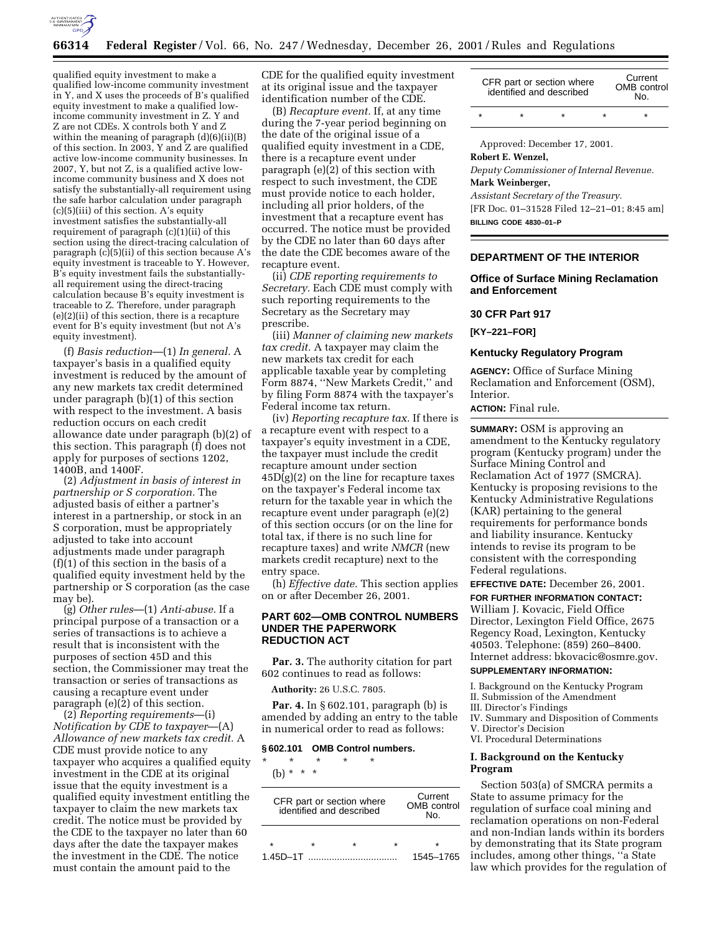

## **66314 Federal Register** / Vol. 66, No. 247 / Wednesday, December 26, 2001 / Rules and Regulations

qualified equity investment to make a qualified low-income community investment in Y, and X uses the proceeds of B's qualified equity investment to make a qualified lowincome community investment in Z. Y and Z are not CDEs. X controls both Y and Z within the meaning of paragraph (d)(6)(ii)(B) of this section. In 2003, Y and Z are qualified active low-income community businesses. In 2007, Y, but not Z, is a qualified active lowincome community business and X does not satisfy the substantially-all requirement using the safe harbor calculation under paragraph (c)(5)(iii) of this section. A's equity investment satisfies the substantially-all requirement of paragraph (c)(1)(ii) of this section using the direct-tracing calculation of paragraph  $(c)(5)(ii)$  of this section because A's equity investment is traceable to Y. However, B's equity investment fails the substantiallyall requirement using the direct-tracing calculation because B's equity investment is traceable to Z. Therefore, under paragraph (e)(2)(ii) of this section, there is a recapture event for B's equity investment (but not A's equity investment).

(f) *Basis reduction*—(1) *In general.* A taxpayer's basis in a qualified equity investment is reduced by the amount of any new markets tax credit determined under paragraph (b)(1) of this section with respect to the investment. A basis reduction occurs on each credit allowance date under paragraph (b)(2) of this section. This paragraph (f) does not apply for purposes of sections 1202, 1400B, and 1400F.

(2) *Adjustment in basis of interest in partnership or S corporation.* The adjusted basis of either a partner's interest in a partnership, or stock in an S corporation, must be appropriately adjusted to take into account adjustments made under paragraph  $(f)(1)$  of this section in the basis of a qualified equity investment held by the partnership or S corporation (as the case may be).

(g) *Other rules*—(1) *Anti-abuse.* If a principal purpose of a transaction or a series of transactions is to achieve a result that is inconsistent with the purposes of section 45D and this section, the Commissioner may treat the transaction or series of transactions as causing a recapture event under paragraph (e)(2) of this section.

(2) *Reporting requirements*—(i) *Notification by CDE to taxpayer*—(A) *Allowance of new markets tax credit.* A CDE must provide notice to any taxpayer who acquires a qualified equity investment in the CDE at its original issue that the equity investment is a qualified equity investment entitling the taxpayer to claim the new markets tax credit. The notice must be provided by the CDE to the taxpayer no later than 60 days after the date the taxpayer makes the investment in the CDE. The notice must contain the amount paid to the

CDE for the qualified equity investment at its original issue and the taxpayer identification number of the CDE.

(B) *Recapture event.* If, at any time during the 7-year period beginning on the date of the original issue of a qualified equity investment in a CDE, there is a recapture event under paragraph (e)(2) of this section with respect to such investment, the CDE must provide notice to each holder, including all prior holders, of the investment that a recapture event has occurred. The notice must be provided by the CDE no later than 60 days after the date the CDE becomes aware of the recapture event.

(ii) *CDE reporting requirements to Secretary.* Each CDE must comply with such reporting requirements to the Secretary as the Secretary may prescribe.

(iii) *Manner of claiming new markets tax credit.* A taxpayer may claim the new markets tax credit for each applicable taxable year by completing Form 8874, ''New Markets Credit,'' and by filing Form 8874 with the taxpayer's Federal income tax return.

(iv) *Reporting recapture tax.* If there is a recapture event with respect to a taxpayer's equity investment in a CDE, the taxpayer must include the credit recapture amount under section 45D(g)(2) on the line for recapture taxes on the taxpayer's Federal income tax return for the taxable year in which the recapture event under paragraph (e)(2) of this section occurs (or on the line for total tax, if there is no such line for recapture taxes) and write *NMCR* (new markets credit recapture) next to the entry space.

(h) *Effective date.* This section applies on or after December 26, 2001.

# **PART 602—OMB CONTROL NUMBERS UNDER THE PAPERWORK REDUCTION ACT**

**Par. 3.** The authority citation for part 602 continues to read as follows:

**Authority:** 26 U.S.C. 7805.

**Par. 4.** In § 602.101, paragraph (b) is amended by adding an entry to the table in numerical order to read as follows:

# **§ 602.101 OMB Control numbers.**

\* \* \* \* \* (b) \* \* \*

| CFR part or section where<br>identified and described | Current<br>OMB control<br>N∩ |   |           |
|-------------------------------------------------------|------------------------------|---|-----------|
|                                                       |                              | ÷ |           |
| $1.45D - 1T$                                          |                              |   | 1545-1765 |

| CFR part or section where<br>identified and described |  |  |  | Current<br>OMB control<br>No. |  |
|-------------------------------------------------------|--|--|--|-------------------------------|--|
|                                                       |  |  |  |                               |  |

Approved: December 17, 2001. **Robert E. Wenzel,**

*Deputy Commissioner of Internal Revenue.* **Mark Weinberger,**

*Assistant Secretary of the Treasury.* [FR Doc. 01–31528 Filed 12–21–01; 8:45 am] **BILLING CODE 4830–01–P**

# **DEPARTMENT OF THE INTERIOR**

# **Office of Surface Mining Reclamation and Enforcement**

# **30 CFR Part 917**

**[KY–221–FOR]**

## **Kentucky Regulatory Program**

**AGENCY:** Office of Surface Mining Reclamation and Enforcement (OSM), Interior.

**ACTION:** Final rule.

**SUMMARY:** OSM is approving an amendment to the Kentucky regulatory program (Kentucky program) under the Surface Mining Control and Reclamation Act of 1977 (SMCRA). Kentucky is proposing revisions to the Kentucky Administrative Regulations (KAR) pertaining to the general requirements for performance bonds and liability insurance. Kentucky intends to revise its program to be consistent with the corresponding Federal regulations.

**EFFECTIVE DATE:** December 26, 2001.

**FOR FURTHER INFORMATION CONTACT:** William J. Kovacic, Field Office Director, Lexington Field Office, 2675 Regency Road, Lexington, Kentucky 40503. Telephone: (859) 260–8400. Internet address: bkovacic@osmre.gov.

## **SUPPLEMENTARY INFORMATION:**

I. Background on the Kentucky Program

- II. Submission of the Amendment
- III. Director's Findings
- IV. Summary and Disposition of Comments V. Director's Decision
- VI. Procedural Determinations

# **I. Background on the Kentucky Program**

Section 503(a) of SMCRA permits a State to assume primacy for the regulation of surface coal mining and reclamation operations on non-Federal and non-Indian lands within its borders by demonstrating that its State program includes, among other things, ''a State law which provides for the regulation of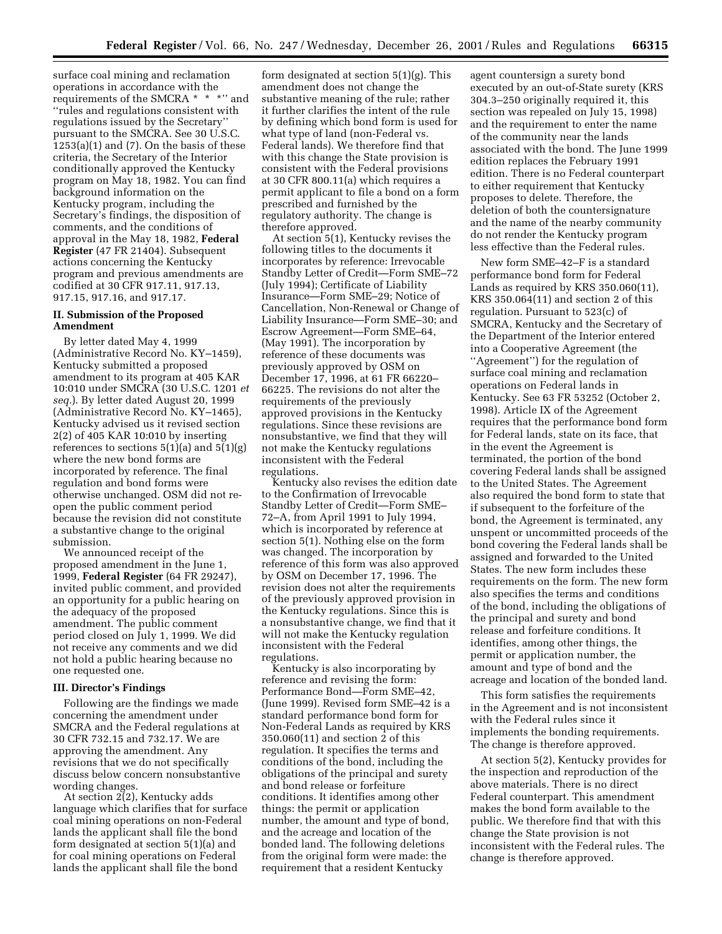surface coal mining and reclamation operations in accordance with the requirements of the SMCRA \* \* \*'' and ''rules and regulations consistent with regulations issued by the Secretary'' pursuant to the SMCRA. See 30 U.S.C.  $1253(a)(1)$  and  $(7)$ . On the basis of these criteria, the Secretary of the Interior conditionally approved the Kentucky program on May 18, 1982. You can find background information on the Kentucky program, including the Secretary's findings, the disposition of comments, and the conditions of approval in the May 18, 1982, **Federal Register** (47 FR 21404). Subsequent actions concerning the Kentucky program and previous amendments are codified at 30 CFR 917.11, 917.13, 917.15, 917.16, and 917.17.

# **II. Submission of the Proposed Amendment**

By letter dated May 4, 1999 (Administrative Record No. KY–1459), Kentucky submitted a proposed amendment to its program at 405 KAR 10:010 under SMCRA (30 U.S.C. 1201 *et seq.*). By letter dated August 20, 1999 (Administrative Record No. KY–1465), Kentucky advised us it revised section 2(2) of 405 KAR 10:010 by inserting references to sections  $5(1)(a)$  and  $5(1)(g)$ where the new bond forms are incorporated by reference. The final regulation and bond forms were otherwise unchanged. OSM did not reopen the public comment period because the revision did not constitute a substantive change to the original submission.

We announced receipt of the proposed amendment in the June 1, 1999, **Federal Register** (64 FR 29247), invited public comment, and provided an opportunity for a public hearing on the adequacy of the proposed amendment. The public comment period closed on July 1, 1999. We did not receive any comments and we did not hold a public hearing because no one requested one.

## **III. Director's Findings**

Following are the findings we made concerning the amendment under SMCRA and the Federal regulations at 30 CFR 732.15 and 732.17. We are approving the amendment. Any revisions that we do not specifically discuss below concern nonsubstantive wording changes.

At section  $2(2)$ , Kentucky adds language which clarifies that for surface coal mining operations on non-Federal lands the applicant shall file the bond form designated at section 5(1)(a) and for coal mining operations on Federal lands the applicant shall file the bond

form designated at section 5(1)(g). This amendment does not change the substantive meaning of the rule; rather it further clarifies the intent of the rule by defining which bond form is used for what type of land (non-Federal vs. Federal lands). We therefore find that with this change the State provision is consistent with the Federal provisions at 30 CFR 800.11(a) which requires a permit applicant to file a bond on a form prescribed and furnished by the regulatory authority. The change is therefore approved.

At section 5(1), Kentucky revises the following titles to the documents it incorporates by reference: Irrevocable Standby Letter of Credit—Form SME–72 (July 1994); Certificate of Liability Insurance—Form SME–29; Notice of Cancellation, Non-Renewal or Change of Liability Insurance—Form SME–30; and Escrow Agreement—Form SME–64, (May 1991). The incorporation by reference of these documents was previously approved by OSM on December 17, 1996, at 61 FR 66220– 66225. The revisions do not alter the requirements of the previously approved provisions in the Kentucky regulations. Since these revisions are nonsubstantive, we find that they will not make the Kentucky regulations inconsistent with the Federal regulations.

Kentucky also revises the edition date to the Confirmation of Irrevocable Standby Letter of Credit—Form SME– 72–A, from April 1991 to July 1994, which is incorporated by reference at section 5(1). Nothing else on the form was changed. The incorporation by reference of this form was also approved by OSM on December 17, 1996. The revision does not alter the requirements of the previously approved provision in the Kentucky regulations. Since this is a nonsubstantive change, we find that it will not make the Kentucky regulation inconsistent with the Federal regulations.

Kentucky is also incorporating by reference and revising the form: Performance Bond—Form SME–42, (June 1999). Revised form SME–42 is a standard performance bond form for Non-Federal Lands as required by KRS 350.060(11) and section 2 of this regulation. It specifies the terms and conditions of the bond, including the obligations of the principal and surety and bond release or forfeiture conditions. It identifies among other things: the permit or application number, the amount and type of bond, and the acreage and location of the bonded land. The following deletions from the original form were made: the requirement that a resident Kentucky

agent countersign a surety bond executed by an out-of-State surety (KRS 304.3–250 originally required it, this section was repealed on July 15, 1998) and the requirement to enter the name of the community near the lands associated with the bond. The June 1999 edition replaces the February 1991 edition. There is no Federal counterpart to either requirement that Kentucky proposes to delete. Therefore, the deletion of both the countersignature and the name of the nearby community do not render the Kentucky program less effective than the Federal rules.

New form SME–42–F is a standard performance bond form for Federal Lands as required by KRS 350.060(11), KRS 350.064(11) and section 2 of this regulation. Pursuant to 523(c) of SMCRA, Kentucky and the Secretary of the Department of the Interior entered into a Cooperative Agreement (the ''Agreement'') for the regulation of surface coal mining and reclamation operations on Federal lands in Kentucky. See 63 FR 53252 (October 2, 1998). Article IX of the Agreement requires that the performance bond form for Federal lands, state on its face, that in the event the Agreement is terminated, the portion of the bond covering Federal lands shall be assigned to the United States. The Agreement also required the bond form to state that if subsequent to the forfeiture of the bond, the Agreement is terminated, any unspent or uncommitted proceeds of the bond covering the Federal lands shall be assigned and forwarded to the United States. The new form includes these requirements on the form. The new form also specifies the terms and conditions of the bond, including the obligations of the principal and surety and bond release and forfeiture conditions. It identifies, among other things, the permit or application number, the amount and type of bond and the acreage and location of the bonded land.

This form satisfies the requirements in the Agreement and is not inconsistent with the Federal rules since it implements the bonding requirements. The change is therefore approved.

At section 5(2), Kentucky provides for the inspection and reproduction of the above materials. There is no direct Federal counterpart. This amendment makes the bond form available to the public. We therefore find that with this change the State provision is not inconsistent with the Federal rules. The change is therefore approved.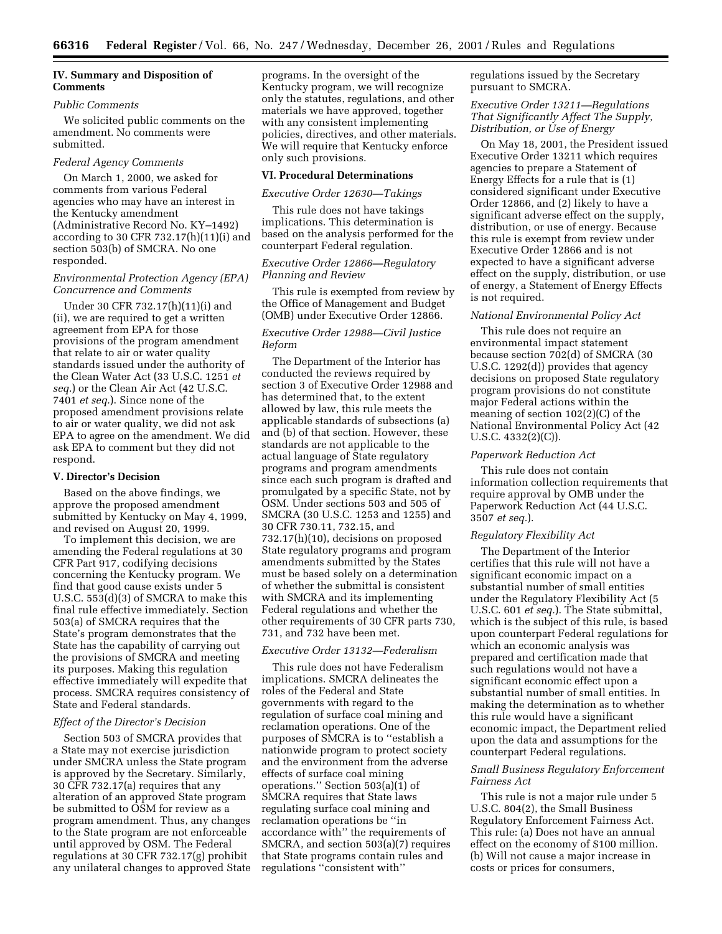# **IV. Summary and Disposition of Comments**

#### *Public Comments*

We solicited public comments on the amendment. No comments were submitted.

## *Federal Agency Comments*

On March 1, 2000, we asked for comments from various Federal agencies who may have an interest in the Kentucky amendment (Administrative Record No. KY–1492) according to 30 CFR 732.17(h)(11)(i) and section 503(b) of SMCRA. No one responded.

# *Environmental Protection Agency (EPA) Concurrence and Comments*

Under 30 CFR 732.17(h)(11)(i) and (ii), we are required to get a written agreement from EPA for those provisions of the program amendment that relate to air or water quality standards issued under the authority of the Clean Water Act (33 U.S.C. 1251 *et seq.*) or the Clean Air Act (42 U.S.C. 7401 *et seq.*). Since none of the proposed amendment provisions relate to air or water quality, we did not ask EPA to agree on the amendment. We did ask EPA to comment but they did not respond.

#### **V. Director's Decision**

Based on the above findings, we approve the proposed amendment submitted by Kentucky on May 4, 1999, and revised on August 20, 1999.

To implement this decision, we are amending the Federal regulations at 30 CFR Part 917, codifying decisions concerning the Kentucky program. We find that good cause exists under 5 U.S.C. 553(d)(3) of SMCRA to make this final rule effective immediately. Section 503(a) of SMCRA requires that the State's program demonstrates that the State has the capability of carrying out the provisions of SMCRA and meeting its purposes. Making this regulation effective immediately will expedite that process. SMCRA requires consistency of State and Federal standards.

## *Effect of the Director's Decision*

Section 503 of SMCRA provides that a State may not exercise jurisdiction under SMCRA unless the State program is approved by the Secretary. Similarly, 30 CFR 732.17(a) requires that any alteration of an approved State program be submitted to OSM for review as a program amendment. Thus, any changes to the State program are not enforceable until approved by OSM. The Federal regulations at 30 CFR 732.17(g) prohibit any unilateral changes to approved State programs. In the oversight of the Kentucky program, we will recognize only the statutes, regulations, and other materials we have approved, together with any consistent implementing policies, directives, and other materials. We will require that Kentucky enforce only such provisions.

# **VI. Procedural Determinations**

# *Executive Order 12630—Takings*

This rule does not have takings implications. This determination is based on the analysis performed for the counterpart Federal regulation.

# *Executive Order 12866—Regulatory Planning and Review*

This rule is exempted from review by the Office of Management and Budget (OMB) under Executive Order 12866.

# *Executive Order 12988—Civil Justice Reform*

The Department of the Interior has conducted the reviews required by section 3 of Executive Order 12988 and has determined that, to the extent allowed by law, this rule meets the applicable standards of subsections (a) and (b) of that section. However, these standards are not applicable to the actual language of State regulatory programs and program amendments since each such program is drafted and promulgated by a specific State, not by OSM. Under sections 503 and 505 of SMCRA (30 U.S.C. 1253 and 1255) and 30 CFR 730.11, 732.15, and 732.17(h)(10), decisions on proposed State regulatory programs and program amendments submitted by the States must be based solely on a determination of whether the submittal is consistent with SMCRA and its implementing Federal regulations and whether the other requirements of 30 CFR parts 730, 731, and 732 have been met.

## *Executive Order 13132—Federalism*

This rule does not have Federalism implications. SMCRA delineates the roles of the Federal and State governments with regard to the regulation of surface coal mining and reclamation operations. One of the purposes of SMCRA is to ''establish a nationwide program to protect society and the environment from the adverse effects of surface coal mining operations.'' Section 503(a)(1) of SMCRA requires that State laws regulating surface coal mining and reclamation operations be ''in accordance with'' the requirements of SMCRA, and section 503(a)(7) requires that State programs contain rules and regulations ''consistent with''

regulations issued by the Secretary pursuant to SMCRA.

# *Executive Order 13211—Regulations That Significantly Affect The Supply, Distribution, or Use of Energy*

On May 18, 2001, the President issued Executive Order 13211 which requires agencies to prepare a Statement of Energy Effects for a rule that is (1) considered significant under Executive Order 12866, and (2) likely to have a significant adverse effect on the supply, distribution, or use of energy. Because this rule is exempt from review under Executive Order 12866 and is not expected to have a significant adverse effect on the supply, distribution, or use of energy, a Statement of Energy Effects is not required.

## *National Environmental Policy Act*

This rule does not require an environmental impact statement because section 702(d) of SMCRA (30 U.S.C. 1292(d)) provides that agency decisions on proposed State regulatory program provisions do not constitute major Federal actions within the meaning of section 102(2)(C) of the National Environmental Policy Act (42 U.S.C. 4332(2)(C)).

## *Paperwork Reduction Act*

This rule does not contain information collection requirements that require approval by OMB under the Paperwork Reduction Act (44 U.S.C. 3507 *et seq.*).

#### *Regulatory Flexibility Act*

The Department of the Interior certifies that this rule will not have a significant economic impact on a substantial number of small entities under the Regulatory Flexibility Act (5 U.S.C. 601 *et seq.*). The State submittal, which is the subject of this rule, is based upon counterpart Federal regulations for which an economic analysis was prepared and certification made that such regulations would not have a significant economic effect upon a substantial number of small entities. In making the determination as to whether this rule would have a significant economic impact, the Department relied upon the data and assumptions for the counterpart Federal regulations.

# *Small Business Regulatory Enforcement Fairness Act*

This rule is not a major rule under 5 U.S.C. 804(2), the Small Business Regulatory Enforcement Fairness Act. This rule: (a) Does not have an annual effect on the economy of \$100 million. (b) Will not cause a major increase in costs or prices for consumers,